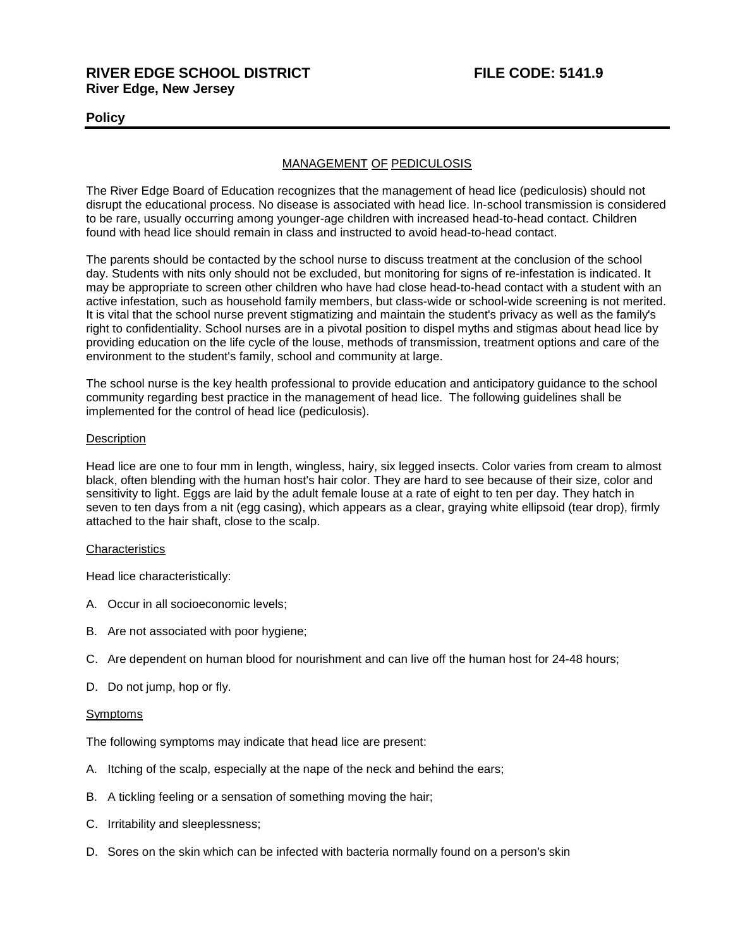# **RIVER EDGE SCHOOL DISTRICT FILE CODE: 5141.9 River Edge, New Jersey**

# **Policy**

# MANAGEMENT OF PEDICULOSIS

The River Edge Board of Education recognizes that the management of head lice (pediculosis) should not disrupt the educational process. No disease is associated with head lice. In-school transmission is considered to be rare, usually occurring among younger-age children with increased head-to-head contact. Children found with head lice should remain in class and instructed to avoid head-to-head contact.

The parents should be contacted by the school nurse to discuss treatment at the conclusion of the school day. Students with nits only should not be excluded, but monitoring for signs of re-infestation is indicated. It may be appropriate to screen other children who have had close head-to-head contact with a student with an active infestation, such as household family members, but class-wide or school-wide screening is not merited. It is vital that the school nurse prevent stigmatizing and maintain the student's privacy as well as the family's right to confidentiality. School nurses are in a pivotal position to dispel myths and stigmas about head lice by providing education on the life cycle of the louse, methods of transmission, treatment options and care of the environment to the student's family, school and community at large.

The school nurse is the key health professional to provide education and anticipatory guidance to the school community regarding best practice in the management of head lice. The following guidelines shall be implemented for the control of head lice (pediculosis).

## **Description**

Head lice are one to four mm in length, wingless, hairy, six legged insects. Color varies from cream to almost black, often blending with the human host's hair color. They are hard to see because of their size, color and sensitivity to light. Eggs are laid by the adult female louse at a rate of eight to ten per day. They hatch in seven to ten days from a nit (egg casing), which appears as a clear, graying white ellipsoid (tear drop), firmly attached to the hair shaft, close to the scalp.

## **Characteristics**

Head lice characteristically:

- A. Occur in all socioeconomic levels;
- B. Are not associated with poor hygiene;
- C. Are dependent on human blood for nourishment and can live off the human host for 24-48 hours;
- D. Do not jump, hop or fly.

## Symptoms

The following symptoms may indicate that head lice are present:

- A. Itching of the scalp, especially at the nape of the neck and behind the ears;
- B. A tickling feeling or a sensation of something moving the hair;
- C. Irritability and sleeplessness;
- D. Sores on the skin which can be infected with bacteria normally found on a person's skin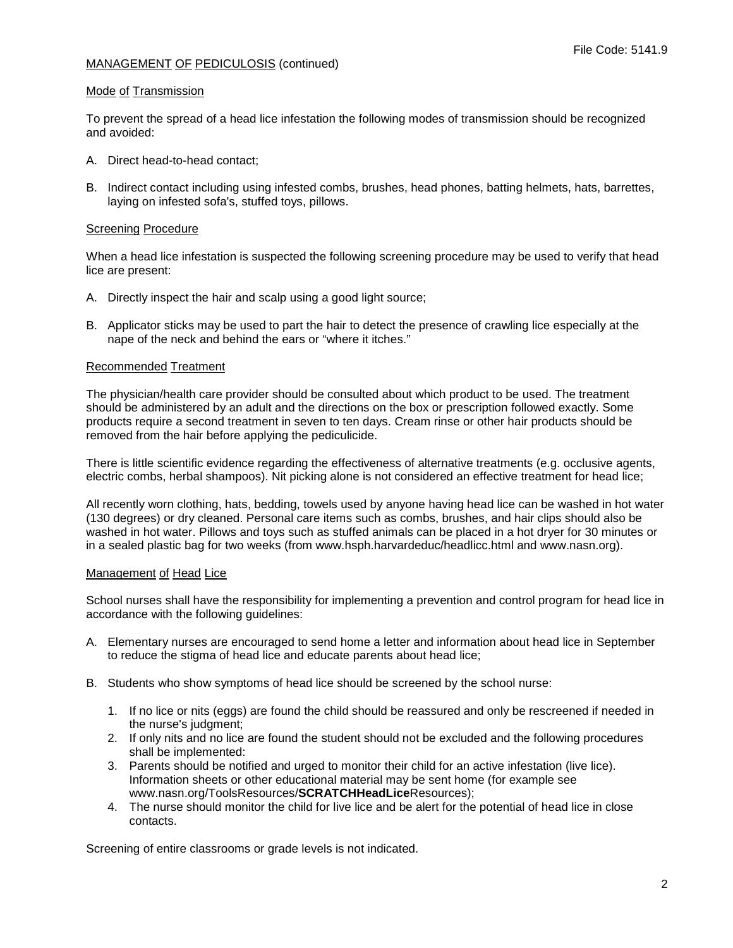# MANAGEMENT OF PEDICULOSIS (continued)

#### Mode of Transmission

To prevent the spread of a head lice infestation the following modes of transmission should be recognized and avoided:

- A. Direct head-to-head contact;
- B. Indirect contact including using infested combs, brushes, head phones, batting helmets, hats, barrettes, laying on infested sofa's, stuffed toys, pillows.

#### Screening Procedure

When a head lice infestation is suspected the following screening procedure may be used to verify that head lice are present:

- A. Directly inspect the hair and scalp using a good light source;
- B. Applicator sticks may be used to part the hair to detect the presence of crawling lice especially at the nape of the neck and behind the ears or "where it itches."

#### Recommended Treatment

The physician/health care provider should be consulted about which product to be used. The treatment should be administered by an adult and the directions on the box or prescription followed exactly. Some products require a second treatment in seven to ten days. Cream rinse or other hair products should be removed from the hair before applying the pediculicide.

There is little scientific evidence regarding the effectiveness of alternative treatments (e.g. occlusive agents, electric combs, herbal shampoos). Nit picking alone is not considered an effective treatment for head lice;

All recently worn clothing, hats, bedding, towels used by anyone having head lice can be washed in hot water (130 degrees) or dry cleaned. Personal care items such as combs, brushes, and hair clips should also be washed in hot water. Pillows and toys such as stuffed animals can be placed in a hot dryer for 30 minutes or in a sealed plastic bag for two weeks (from www.hsph.harvardeduc/headlicc.html and www.nasn.org).

#### Management of Head Lice

School nurses shall have the responsibility for implementing a prevention and control program for head lice in accordance with the following guidelines:

- A. Elementary nurses are encouraged to send home a letter and information about head lice in September to reduce the stigma of head lice and educate parents about head lice;
- B. Students who show symptoms of head lice should be screened by the school nurse:
	- 1. If no lice or nits (eggs) are found the child should be reassured and only be rescreened if needed in the nurse's judgment;
	- 2. If only nits and no lice are found the student should not be excluded and the following procedures shall be implemented:
	- 3. Parents should be notified and urged to monitor their child for an active infestation (live lice). Information sheets or other educational material may be sent home (for example see www.nasn.org/ToolsResources/**SCRATCHHeadLice**Resources);
	- 4. The nurse should monitor the child for live lice and be alert for the potential of head lice in close contacts.

Screening of entire classrooms or grade levels is not indicated.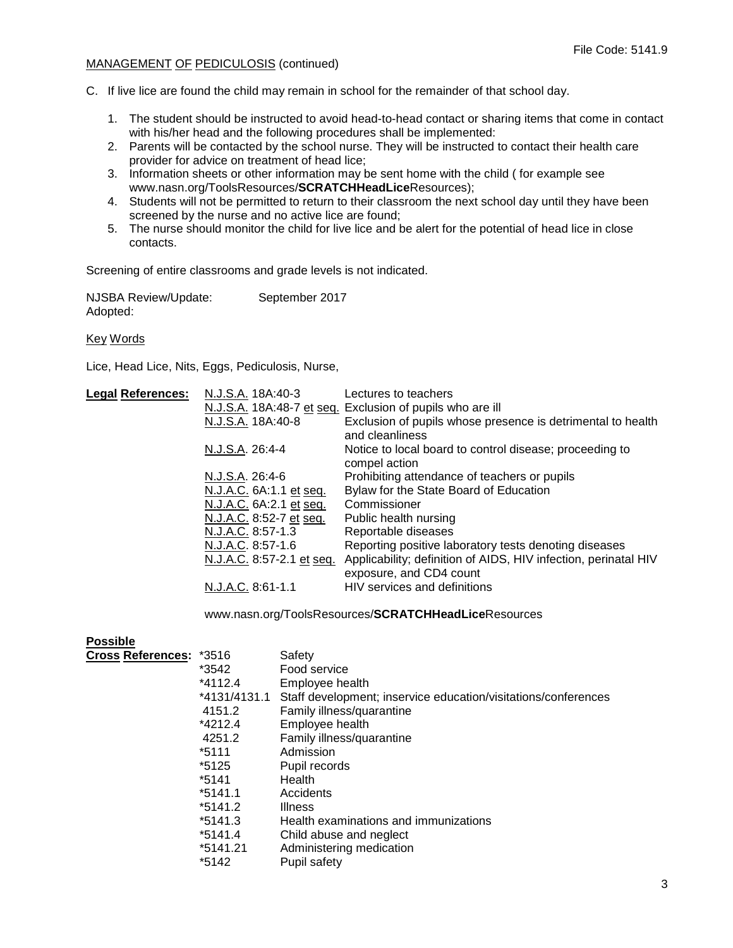# MANAGEMENT OF PEDICULOSIS (continued)

C. If live lice are found the child may remain in school for the remainder of that school day.

- 1. The student should be instructed to avoid head-to-head contact or sharing items that come in contact with his/her head and the following procedures shall be implemented:
- 2. Parents will be contacted by the school nurse. They will be instructed to contact their health care provider for advice on treatment of head lice;
- 3. Information sheets or other information may be sent home with the child ( for example see www.nasn.org/ToolsResources/**SCRATCHHeadLice**Resources);
- 4. Students will not be permitted to return to their classroom the next school day until they have been screened by the nurse and no active lice are found;
- 5. The nurse should monitor the child for live lice and be alert for the potential of head lice in close contacts.

Screening of entire classrooms and grade levels is not indicated.

NJSBA Review/Update: September 2017 Adopted:

Key Words

Lice, Head Lice, Nits, Eggs, Pediculosis, Nurse,

| <b>Legal References:</b> | N.J.S.A. 18A:40-3         | Lectures to teachers                                                                       |
|--------------------------|---------------------------|--------------------------------------------------------------------------------------------|
|                          |                           | N.J.S.A. 18A:48-7 et seq. Exclusion of pupils who are ill                                  |
|                          | N.J.S.A. 18A:40-8         | Exclusion of pupils whose presence is detrimental to health<br>and cleanliness             |
|                          | N.J.S.A. 26:4-4           | Notice to local board to control disease; proceeding to<br>compel action                   |
|                          | N.J.S.A. 26:4-6           | Prohibiting attendance of teachers or pupils                                               |
|                          | N.J.A.C. 6A:1.1 et seq.   | Bylaw for the State Board of Education                                                     |
|                          | N.J.A.C. 6A: 2.1 et seq.  | Commissioner                                                                               |
|                          | N.J.A.C. 8:52-7 et seq.   | Public health nursing                                                                      |
|                          | N.J.A.C. 8:57-1.3         | Reportable diseases                                                                        |
|                          | N.J.A.C. 8:57-1.6         | Reporting positive laboratory tests denoting diseases                                      |
|                          | N.J.A.C. 8:57-2.1 et seq. | Applicability; definition of AIDS, HIV infection, perinatal HIV<br>exposure, and CD4 count |
|                          | N.J.A.C. 8:61-1.1         | HIV services and definitions                                                               |
|                          |                           |                                                                                            |

www.nasn.org/ToolsResources/**SCRATCHHeadLice**Resources

| <b>Possible</b>                |              |                                                                |
|--------------------------------|--------------|----------------------------------------------------------------|
| <b>Cross References: *3516</b> |              | Safety                                                         |
|                                | *3542        | Food service                                                   |
|                                | $*4112.4$    | Employee health                                                |
|                                | *4131/4131.1 | Staff development; inservice education/visitations/conferences |
|                                | 4151.2       | Family illness/quarantine                                      |
|                                | *4212.4      | Employee health                                                |
|                                | 4251.2       | Family illness/quarantine                                      |
|                                | *5111        | Admission                                                      |
|                                | *5125        | Pupil records                                                  |
|                                | *5141        | Health                                                         |
|                                | $*5141.1$    | Accidents                                                      |
|                                | $*5141.2$    | <b>Illness</b>                                                 |
|                                | *5141.3      | Health examinations and immunizations                          |
|                                | *5141.4      | Child abuse and neglect                                        |
|                                | *5141.21     | Administering medication                                       |
|                                | *5142        | Pupil safety                                                   |